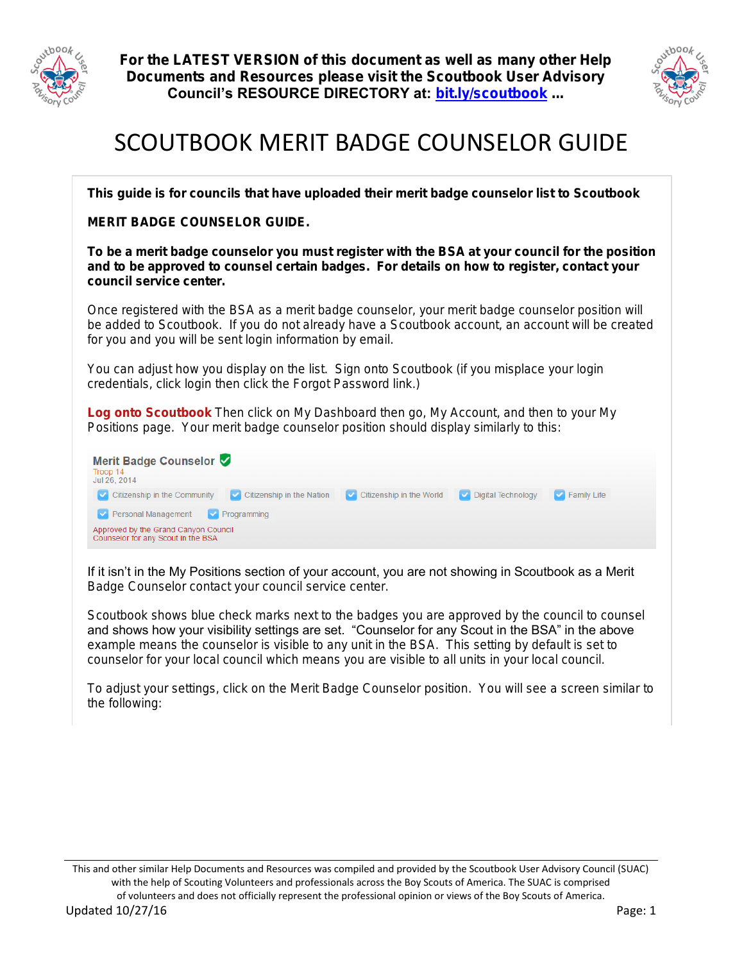



## SCOUTBOOK MERIT BADGE COUNSELOR GUIDE

This guide is for councils that have uploaded their merit badge counselor list to Scoutbook

MERIT BADGE COUNSELOR GUIDE.

To be a merit badge counselor you must register with the BSA at your council for the position and to be approved to counsel certain badges. For details on how to register, contact your council service center.

Once registered with the BSA as a merit badge counselor, your merit badge counselor position will be added to Scoutbook. If you do not already have a Scoutbook account, an account will be created for you and you will be sent login information by email.

You can adjust how you display on the list. Sign onto Scoutbook (if you misplace your login credentials, click login then click the Forgot Password link.)

Log onto Scoutbook Then click on My Dashboard then go, My Account, and then to your My Positions page. Your merit badge counselor position should display similarly to this:

| Merit Badge Counselor V<br>Troop 14<br>Jul 26, 2014                               |                                               |                    |
|-----------------------------------------------------------------------------------|-----------------------------------------------|--------------------|
| <b>Citizenship in the Nation</b><br>$\triangleright$ Citizenship in the Community | Citizenship in the World V Digital Technology | $\vee$ Family Life |
| Personal Management V Programming                                                 |                                               |                    |
| Approved by the Grand Canyon Council<br>Counselor for any Scout in the BSA        |                                               |                    |

If it isn't in the My Positions section of your account, you are not showing in Scoutbook as a Merit Badge Counselor contact your council service center.

Scoutbook shows blue check marks next to the badges you are approved by the council to counsel and shows how your visibility settings are set. "Counselor for any Scout in the BSA" in the above example means the counselor is visible to any unit in the BSA. This setting by default is set to counselor for your local council which means you are visible to all units in your local council.

To adjust your settings, click on the Merit Badge Counselor position. You will see a screen similar to the following: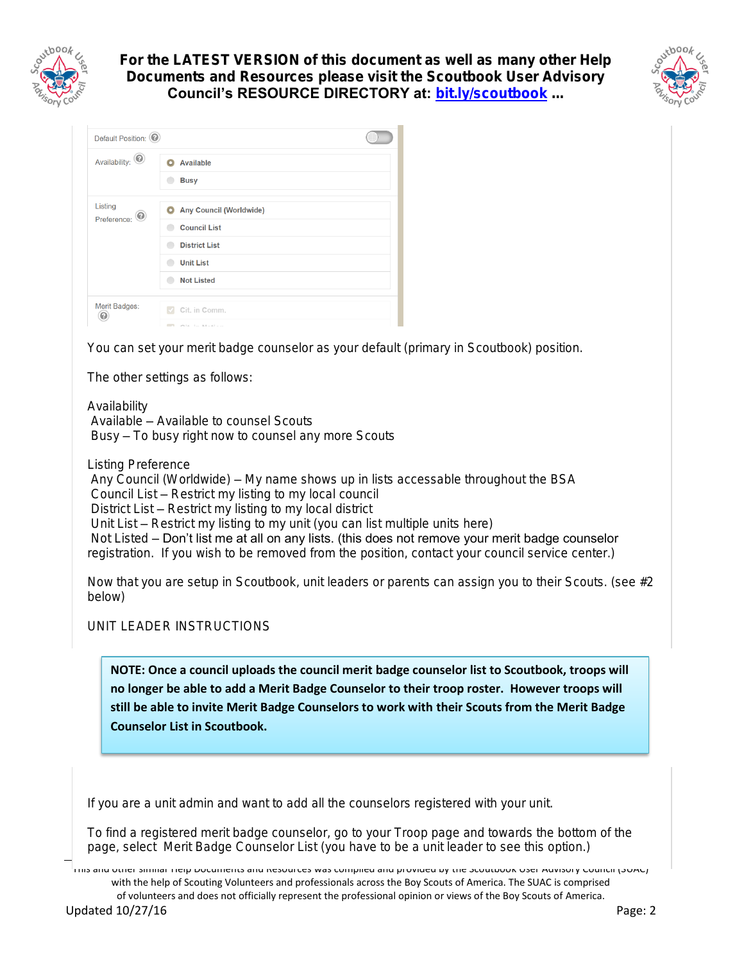



| Default Position: 2    |                                                         |
|------------------------|---------------------------------------------------------|
| Availability: $\odot$  | <b>Available</b><br><b>Busy</b>                         |
| Listing<br>Preference: | Any Council (Worldwide)                                 |
|                        | <b>Council List</b><br><b>District List</b>             |
|                        | <b>Unit List</b>                                        |
|                        | <b>Not Listed</b>                                       |
| Merit Badges:<br>⋒     | Cit. in Comm.<br>$\sim$<br><b>CONTRACTOR AT ALCOHOL</b> |

You can set your merit badge counselor as your default (primary in Scoutbook) position.

The other settings as follows:

Availability Available – Available to counsel Scouts Busy – To busy right now to counsel any more Scouts

Listing Preference Any Council (Worldwide) – My name shows up in lists accessable throughout the BSA Council List – Restrict my listing to my local council District List – Restrict my listing to my local district Unit List – Restrict my listing to my unit (you can list multiple units here) Not Listed – Don't list me at all on any lists. (this does not remove your merit badge counselor registration. If you wish to be removed from the position, contact your council service center.)

Now that you are setup in Scoutbook, unit leaders or parents can assign you to their Scouts. (see #2 below)

UNIT LEADER INSTRUCTIONS

**NOTE: Once a council uploads the council merit badge counselor list to Scoutbook, troops will no longer be able to add a Merit Badge Counselor to their troop roster. However troops will still be able to invite Merit Badge Counselors to work with their Scouts from the Merit Badge Counselor List in Scoutbook.**

If you are a unit admin and want to add all the counselors registered with your unit.

To find a registered merit badge counselor, go to your Troop page and towards the bottom of the page, select Merit Badge Counselor List (you have to be a unit leader to see this option.)

This and other similar Help Documents and Resources was compiled and provided by the Scoutbook User Advisory Council (SUAC) with the help of Scouting Volunteers and professionals across the Boy Scouts of America. The SUAC is comprised of volunteers and does not officially represent the professional opinion or views of the Boy Scouts of America. Updated 10/27/16 Page: 2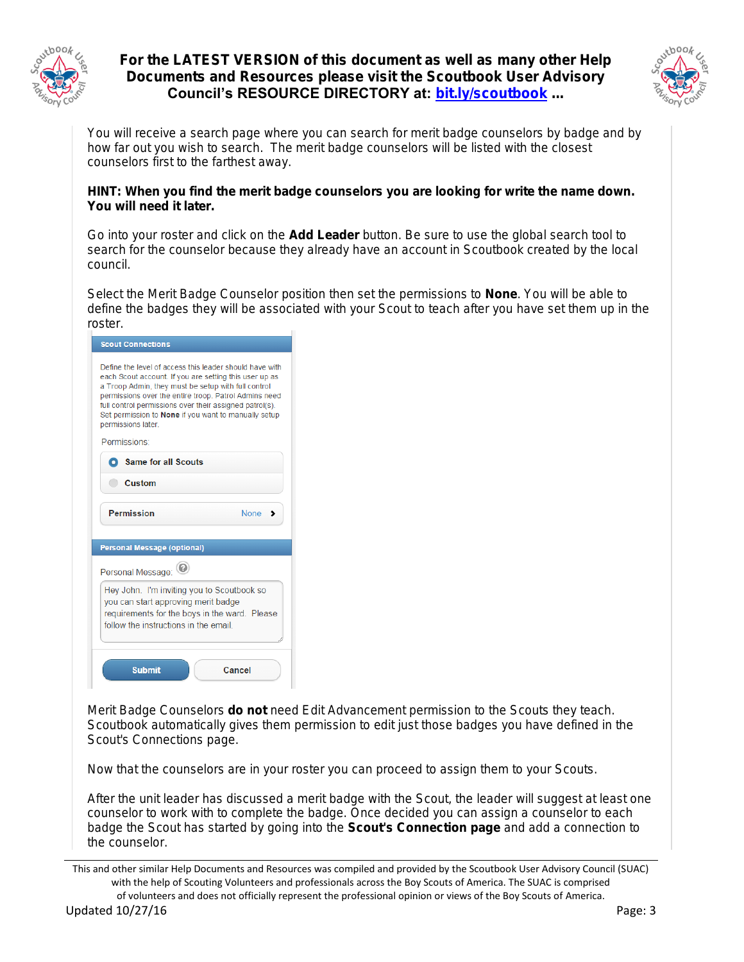



You will receive a search page where you can search for merit badge counselors by badge and by how far out you wish to search. The merit badge counselors will be listed with the closest counselors first to the farthest away.

HINT: When you find the merit badge counselors you are looking for write the name down. You will need it later.

Go into your roster and click on the Add Leader button. Be sure to use the global search tool to search for the counselor because they already have an account in Scoutbook created by the local council.

Select the Merit Badge Counselor position then set the permissions to None. You will be able to define the badges they will be associated with your Scout to teach after you have set them up in the roster.

| <b>Scout Connections</b>                                                                                                                                                                                                                                                                                                                                                   |             |  |  |
|----------------------------------------------------------------------------------------------------------------------------------------------------------------------------------------------------------------------------------------------------------------------------------------------------------------------------------------------------------------------------|-------------|--|--|
| Define the level of access this leader should have with<br>each Scout account. If you are setting this user up as<br>a Troop Admin, they must be setup with full control<br>permissions over the entire troop. Patrol Admins need<br>full control permissions over their assigned patrol(s).<br>Set permission to None if you want to manually setup<br>permissions later. |             |  |  |
| Permissions:                                                                                                                                                                                                                                                                                                                                                               |             |  |  |
| <b>O</b> Same for all Scouts                                                                                                                                                                                                                                                                                                                                               |             |  |  |
| Custom                                                                                                                                                                                                                                                                                                                                                                     |             |  |  |
| <b>Permission</b>                                                                                                                                                                                                                                                                                                                                                          | <b>None</b> |  |  |
|                                                                                                                                                                                                                                                                                                                                                                            |             |  |  |
| <b>Personal Message (optional)</b>                                                                                                                                                                                                                                                                                                                                         |             |  |  |
|                                                                                                                                                                                                                                                                                                                                                                            |             |  |  |
| Personal Message:                                                                                                                                                                                                                                                                                                                                                          |             |  |  |
| Hey John. I'm inviting you to Scoutbook so<br>you can start approving merit badge<br>requirements for the boys in the ward. Please<br>follow the instructions in the email                                                                                                                                                                                                 |             |  |  |

Merit Badge Counselors do not need Edit Advancement permission to the Scouts they teach. Scoutbook automatically gives them permission to edit just those badges you have defined in the Scout's Connections page.

Now that the counselors are in your roster you can proceed to assign them to your Scouts.

After the unit leader has discussed a merit badge with the Scout, the leader will suggest at least one counselor to work with to complete the badge. Once decided you can assign a counselor to each badge the Scout has started by going into the Scout's Connection page and add a connection to the counselor.

This and other similar Help Documents and Resources was compiled and provided by the Scoutbook User Advisory Council (SUAC) with the help of Scouting Volunteers and professionals across the Boy Scouts of America. The SUAC is comprised of volunteers and does not officially represent the professional opinion or views of the Boy Scouts of America.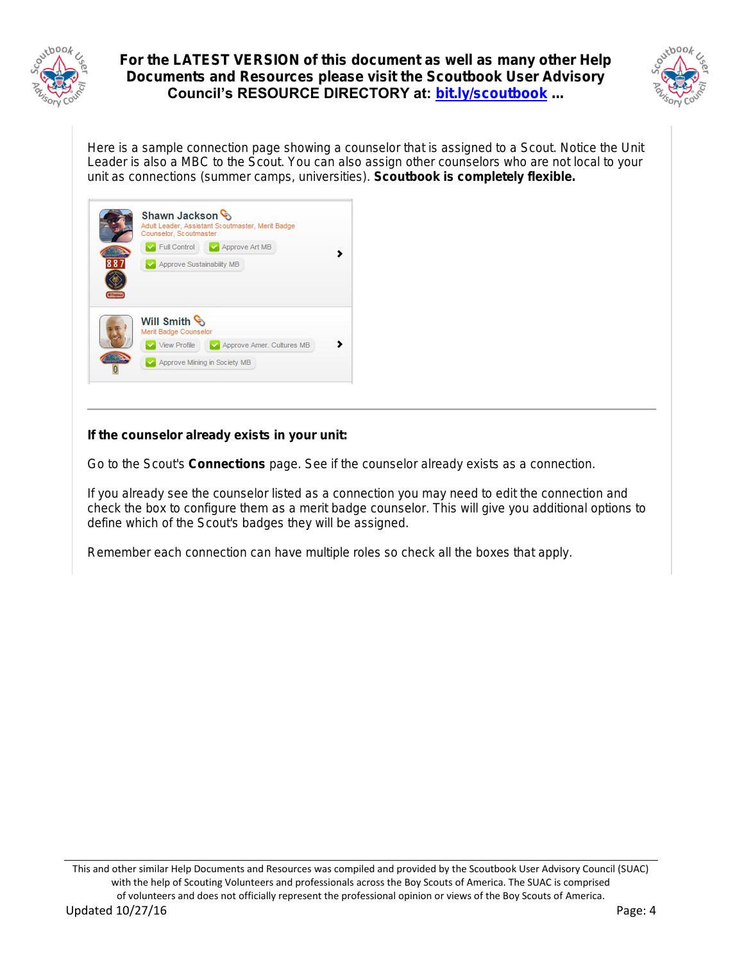



Here is a sample connection page showing a counselor that is assigned to a Scout. Notice the Unit Leader is also a MBC to the Scout. You can also assign other counselors who are not local to your unit as connections (summer camps, universities). Scoutbook is completely flexible.

| 887 | Shawn Jackson<br>Adult Leader, Assistant Scoutmaster, Merit Badge<br>Counselor, Scoutmaster<br>$\sqrt{\phantom{a}}$ Full Control<br>Approve Art MB<br>Approve Sustainability MB |
|-----|---------------------------------------------------------------------------------------------------------------------------------------------------------------------------------|
|     | Will Smith<br>Merit Badge Counselor                                                                                                                                             |
|     | <b>View Profile</b><br>Approve Amer. Cultures MB                                                                                                                                |
|     | Approve Mining in Society MB                                                                                                                                                    |

If the counselor already exists in your unit:

Go to the Scout's Connections page. See if the counselor already exists as a connection.

If you already see the counselor listed as a connection you may need to edit the connection and check the box to configure them as a merit badge counselor. This will give you additional options to define which of the Scout's badges they will be assigned.

Remember each connection can have multiple roles so check all the boxes that apply.